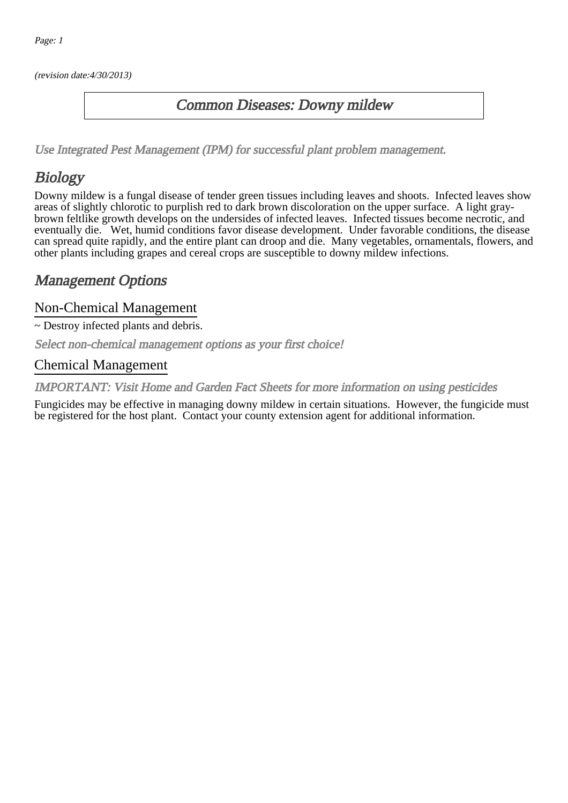(revision date:4/30/2013)

#### Common Diseases: Downy mildew

[Use Integrated Pest Management \(IPM\) for successful plant problem management.](http://pep.wsu.edu/Home_Garden/H_G_Pesticide_info/urban_Integrated_Pest_Managmen/)

## Biology

Downy mildew is a fungal disease of tender green tissues including leaves and shoots. Infected leaves show areas of slightly chlorotic to purplish red to dark brown discoloration on the upper surface. A light graybrown feltlike growth develops on the undersides of infected leaves. Infected tissues become necrotic, and eventually die. Wet, humid conditions favor disease development. Under favorable conditions, the disease can spread quite rapidly, and the entire plant can droop and die. Many vegetables, ornamentals, flowers, and other plants including grapes and cereal crops are susceptible to downy mildew infections.

### Management Options

#### Non-Chemical Management

~ Destroy infected plants and debris.

Select non-chemical management options as your first choice!

#### Chemical Management

IMPORTANT: [Visit Home and Garden Fact Sheets for more information on using pesticides](http://pep.wsu.edu/Home_Garden/H_G_Pesticide_info/)

Fungicides may be effective in managing downy mildew in certain situations. However, the fungicide must be registered for the host plant. Contact your county extension agent for additional information.